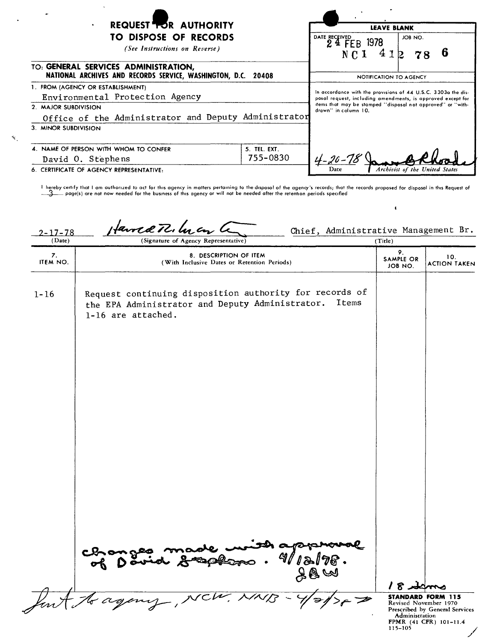| <b>REQUEST TOR AUTHORITY</b><br>٠<br>TO DISPOSE OF RECORDS<br>(See Instructions on Reverse)                                                          |                          | <b>LEAVE BLANK</b><br>JOB NO.<br>DATE RECEIVED<br>24 FEB 1978<br>41<br>NC <sub>1</sub>                                                                                                                              |                                |
|------------------------------------------------------------------------------------------------------------------------------------------------------|--------------------------|---------------------------------------------------------------------------------------------------------------------------------------------------------------------------------------------------------------------|--------------------------------|
| TO: GENERAL SERVICES ADMINISTRATION,<br>NATIONAL ARCHIVES AND RECORDS SERVICE, WASHINGTON, D.C. 20408                                                |                          | NOTIFICATION TO AGENCY                                                                                                                                                                                              |                                |
| 1. FROM (AGENCY OR ESTABLISHMENT)<br>Environmental Protection Agency<br>2. MAJOR SUBDIVISION<br>Office of the Administrator and Deputy Administrator |                          | In accordance with the provisions of 44 U.S.C. 3303a the dis-<br>posal request, including amendments, is approved except for<br>items that may be stamped "disposal not approved" or "with-<br>drawn" in column 10. |                                |
| 3. MINOR SUBDIVISION<br>4. NAME OF PERSON WITH WHOM TO CONFER<br>David O. Stephens<br>6. CERTIFICATE OF AGENCY REPRESENTATIVE:                       | 5. TEL. EXT.<br>755-0830 | Dare                                                                                                                                                                                                                | Archivist of the United States |

 $\mathbf{r}_\mathrm{c}$ 

**I hereby certify that I am authorized to act for this agency in matters pertaining to the disposal of the agency's** records **that the records proposed for disposal in this Request of ~ poge(s) are not now needed for the** business **of this agency Of will not be needed after the retention periods** specrfled

 $\pmb{\epsilon}$ 

2-17-78  $\mu$  **Laure 272.**  $\mu$   $\epsilon$   $\sqrt{2}$  Chief, Administrative Management Br. (Signature of Agency Representative) 9. 8. DESCRIPTION OF ITEM 9.<br>ITEM NO. (With Inclusive Dates or Retention Periods) SAMPLE OR 10.<br>JOB NO. ACTION TAKEN 1-16 Request continuing disposition authority for records of the EPA Administrator and Deputy Administrator. Items 1-16 are attached.  $\bullet$ لمر 8 /  $\sqrt{2}$ A **STANDARD FORM 115** Revised November 1970 Prescribed by General Services **Administration** FPMR (41 CFR) 101-11.4 115-105 //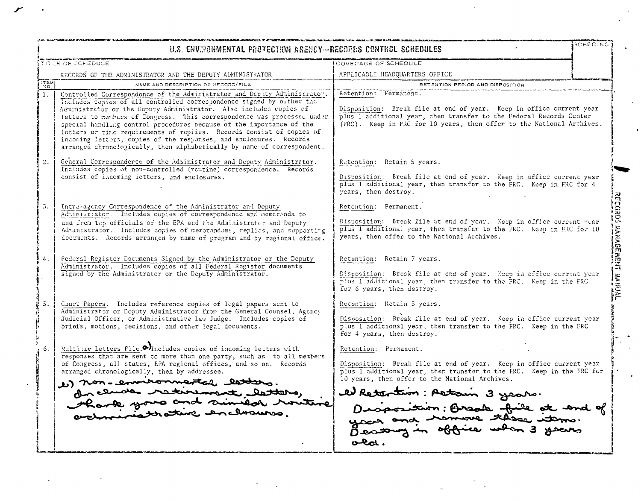| TITLE OF CONEDULE |                                                                                                                                                                                                                                                                                                                                                                                                                                                                                                                                                                                                       | COVEPAGE OF SCHEDULE                                                                                                                                                                                                                                                                                   |  |
|-------------------|-------------------------------------------------------------------------------------------------------------------------------------------------------------------------------------------------------------------------------------------------------------------------------------------------------------------------------------------------------------------------------------------------------------------------------------------------------------------------------------------------------------------------------------------------------------------------------------------------------|--------------------------------------------------------------------------------------------------------------------------------------------------------------------------------------------------------------------------------------------------------------------------------------------------------|--|
|                   | RECORDS OF THE ADMINISTRATOR AND THE DEPUTY ADMINISTRATOR                                                                                                                                                                                                                                                                                                                                                                                                                                                                                                                                             | APPLICABLE HEADQUARTERS OFFICE                                                                                                                                                                                                                                                                         |  |
| <b>ITEM</b>       | NAME AND DESCRIPTION OF RECORD/FILE                                                                                                                                                                                                                                                                                                                                                                                                                                                                                                                                                                   | RETENTION PERIOD AND DISPOSITION                                                                                                                                                                                                                                                                       |  |
| $\mathbf{1}$ .    | Controlled Correspondence of the Administrator and Dop ity Administrator.<br>Includes copies of all controlled correspondence signed by either the<br>Administrator or the Deputy Administrator. Also includes copies of<br>letters to members of Congress. This correspondence was processed under<br>special handling control procedures because of the importance of the<br>letters or time requirements of replies. Records consist of copies of<br>incoming letters, copies of the responses, and enclosures. Records<br>arranged chronologically, then alphabetically by name of correspondent. | Retention: Fermanent.<br>Disposition: Break file at end of year. Keep in office current year<br>plus I additional year, then transfer to the Federal Records Center<br>(FRC). Keep in FRC for 10 years, then offer to the National Archives.                                                           |  |
| $\overline{2}$ .  | General Corresponderce of the Administrator and Deputy Administrator.<br>Includes copies of non-controlled (routine) correspondence. Records<br>consist of incoming letters, and enclosures.                                                                                                                                                                                                                                                                                                                                                                                                          | Retention: Retain 5 years.<br>Disposition: Break file at end of year. Keep in office current year<br>plus I additional year, then transfer to the FRC. Keep in FRC for 4<br>years, then destroy.                                                                                                       |  |
| 5.                | Intra-agency Correspondence of the Administrator and Deputy<br>Administrator. Includes copies of correspondence and memorianda to<br>and frem top officials of the EPA and the Administrator and Deputy<br>Administrator. Includes copies of memorandums, replies, and supporting<br>documents. Records arranged by name of program and by regional office.                                                                                                                                                                                                                                           | Retention: Permanent.<br>Disposition: Break file at end of year. Keep in office current war<br>plus 1 additional year, then transfer to the FRC. Keep in FRC for 10<br>years, then offer to the National Archives.                                                                                     |  |
| $\Lambda$         | Federal Register Documents Signed by the Administrator or the Deputy<br>Administrator. Includes copies of all Federal Register documents<br>signed by the Administrator or the Deputy Administrator.                                                                                                                                                                                                                                                                                                                                                                                                  | Retention: Retain 7 years.<br>Disposition: Break file at end of year. Keep in office current year<br>plus I additional year, then transfer to the FRC. Keep in the FRC<br>for 6 years, then destroy.                                                                                                   |  |
| 5.                | Court Papers. Includes reference copies of legal papers sent to<br>Administrator or Deputy Administrator from the General Counsel, Agency<br>Judicial Officer, or Administrative Law Judge. Includes copies of<br>briefs, motions, decisions, and other legal documents.                                                                                                                                                                                                                                                                                                                              | Retention: Retain 5 years.<br>Disposition: Break file at end of year. Keep in office current year<br>plus 1 additional year, then transfer to the FRC. Keep in the FRC<br>for 4 years, then destroy.                                                                                                   |  |
| 6.                | Writiple Letters File. <sup>1</sup> Includes copies of incoming letters with<br>responses that are sent to more than one party, such as to all members<br>of Congress, all states, EPA regional offices, and so on. Records<br>arranged chronologically, then by addressee.<br>1) non-environmental letters.<br>de clude retirement letters,<br>Rank your and similar row                                                                                                                                                                                                                             | Retention: Permanent.<br>Disposition: Break file at end of year. Keep in office current year<br>plus I additional year, then transfer to the FRC. Keep in the FRC for<br>10 years, then offer to the National Archives.<br>el Retention : Altain 3 years.<br>Disposition: Break file at end of<br>O(1) |  |

 $\mathbf{r}$ 

 $\sim 10$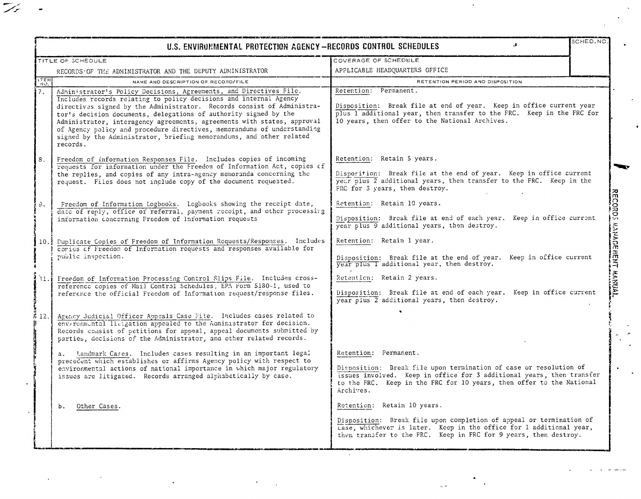| TITLE OF SCHEDULE |                                                                                                                                                                                                                                                                                                                                                                                                                                                                                                                                 | COVERAGE OF SCHEDULE                                                                                                                                                                                                                                     |  |
|-------------------|---------------------------------------------------------------------------------------------------------------------------------------------------------------------------------------------------------------------------------------------------------------------------------------------------------------------------------------------------------------------------------------------------------------------------------------------------------------------------------------------------------------------------------|----------------------------------------------------------------------------------------------------------------------------------------------------------------------------------------------------------------------------------------------------------|--|
|                   | RECORDS OF THE ADMINISTRATOR AND THE DEPUTY ADMINISTRATOR                                                                                                                                                                                                                                                                                                                                                                                                                                                                       | APPLICABLE HEADQUARTERS OFFICE                                                                                                                                                                                                                           |  |
| TEM               | NAME AND DESCRIPTION OF RECORD/FILE                                                                                                                                                                                                                                                                                                                                                                                                                                                                                             | RETENTION PERIOD AND DISPOSITION                                                                                                                                                                                                                         |  |
| 7.                | Administrator's Policy Decisions, Agreements, and Directives File.<br>Includes records relating to policy decisions and internal Agency<br>directives signed by the Administrator. Records consist of Administra-<br>tor's decision documents, delegations of authority signed by the<br>Administrator, interagency agreements, agreements with states, approval<br>of Agency policy and procedure directives, memorandums of understanding<br>signed by the Administrator, briefing memorandums, and other related<br>records. | Retention: Permanent.<br>Disposition: Break file at end of year. Keep in office current year<br>plus 1 additional year, then transfer to the FRC. Keep in the FRC for<br>10 years, then offer to the National Archives.                                  |  |
| 8.                | Freedom of information Responses File. Includes copies of incoming<br>requests for information under the Freedom of Information Act, copies of<br>the replies, and copies of any intra-agency memoranda concerning the<br>request. Files does not include copy of the document requested.                                                                                                                                                                                                                                       | Retention: Retain 5 years.<br>Disporition: Break file at the end of year. Keep in office current<br>year plus 2 additional years, then transfer to the FRC. Keep in the<br>FRC for 3 years, then destroy.                                                |  |
| Э.                | Freedom of Information Logbooks. Logbooks showing the receipt date,<br>date of reply, office of referral, payment receipt, and other processing<br>information concerning Freedom of Information requests                                                                                                                                                                                                                                                                                                                       | Retention: Retain 10 years.<br>Disposition: Broak file at end of each year. Keep in office current<br>year plus 9 additional years, then destroy.                                                                                                        |  |
| 10.1              | Duplicate Copies of Freedom of Information Requests/Responses. Includes<br>copies of Freedom of Information requests and responses available for<br>public inspection.                                                                                                                                                                                                                                                                                                                                                          | Retention: Retain 1 year.<br>Disposition: Break file at the end of year. Keep in office current<br>year plus I additional year, then destroy.                                                                                                            |  |
|                   | 11. Freedom of Information Processing Control Slips File. Includes cross-<br>reference copies of Mail Control Schedules, EPA Form 5180-1, used to<br>reference the official Freedom of Information request/response files.                                                                                                                                                                                                                                                                                                      | Retention: Retain 2 years.<br>Disposition: Break file at end of each year. Keep in office current<br>year plus 2 additional years, then destroy.                                                                                                         |  |
| 8 12. 1           | Agency Judicial Officer Appeals Case File. Includes cases related to<br>environmental lietgation appealed to the Administrator for decision.<br>Records consist of petitions for appeal, appeal documents submitted by<br>parties, decisions of the Administrator, and other related records.                                                                                                                                                                                                                                   |                                                                                                                                                                                                                                                          |  |
|                   | a. Landmark Cases. Includes cases resulting in an important legal<br>precedent which establishes or affirms Agency policy with respect to<br>environmental actions of national importance in which major regulatory<br>issues are litigated. Records arranged alphabetically by case.                                                                                                                                                                                                                                           | Retention: Permanent.<br>Disposition: Break file upon termination of case or resolution of<br>issues involved. Keep in office for 3 additional years, then transfer<br>to the FRC. Keep in the FRC for 10 years, then offer to the National<br>Archives. |  |
|                   | Other Cases.<br>b.                                                                                                                                                                                                                                                                                                                                                                                                                                                                                                              | Retention: Retain 10 years.<br>Disposition: Break file upon completion of appeal or termination of<br>case, whichever is later. Keep in the office for 1 additional year,<br>then transfer to the FRC. Keep in FRC for 9 years, then destroy.            |  |

 $\mathcal{A}^{\mathcal{A}}$ 

 $\mathbb{Z}_{\ell}$